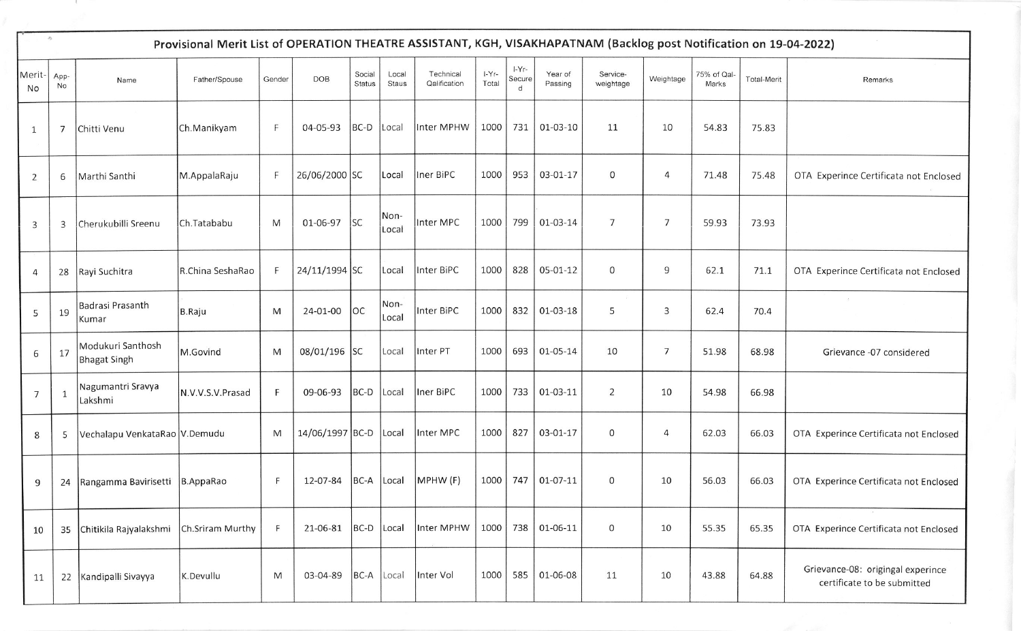| $\frac{1}{2} \sum_{i=1}^n \frac{1}{2} \left( \frac{1}{2} \right)^2$<br>Provisional Merit List of OPERATION THEATRE ASSISTANT, KGH, VISAKHAPATNAM (Backlog post Notification on 19-04-2022) |              |                                          |                  |              |                 |                         |                |                           |                  |                                 |                    |                       |                |                      |                    |                                                                  |
|--------------------------------------------------------------------------------------------------------------------------------------------------------------------------------------------|--------------|------------------------------------------|------------------|--------------|-----------------|-------------------------|----------------|---------------------------|------------------|---------------------------------|--------------------|-----------------------|----------------|----------------------|--------------------|------------------------------------------------------------------|
| Merit-<br>No                                                                                                                                                                               | App-<br>No   | Name                                     | Father/Spouse    | Gender       | <b>DOB</b>      | Social<br><b>Status</b> | Local<br>Staus | Technical<br>Qalification | $I-Yr-$<br>Total | I-Yr-<br>Secure<br>$\mathsf{d}$ | Year of<br>Passing | Service-<br>weightage | Weightage      | 75% of Qal-<br>Marks | <b>Total-Merit</b> | Remarks                                                          |
| $\mathbf{1}$                                                                                                                                                                               | 7            | Chitti Venu                              | Ch.Manikyam      | F            | 04-05-93        | $BC-D$                  | Local          | Inter MPHW                | 1000             | 731                             | 01-03-10           | 11                    | 10             | 54.83                | 75.83              |                                                                  |
| $\overline{2}$                                                                                                                                                                             | 6            | Marthi Santhi                            | M.AppalaRaju     | F.           | 26/06/2000 SC   |                         | Local          | Iner BiPC                 | 1000             | 953                             | 03-01-17           | 0                     | 4              | 71.48                | 75.48              | OTA Experince Certificata not Enclosed                           |
| $\overline{3}$                                                                                                                                                                             | 3            | Cherukubilli Sreenu                      | Ch.Tatababu      | M            | $01-06-97$ SC   |                         | Non-<br>Local  | Inter MPC                 | 1000             | 799                             | $01-03-14$         | $\overline{7}$        | 7              | 59.93                | 73.93              |                                                                  |
| $\overline{4}$                                                                                                                                                                             | 28           | Rayi Suchitra                            | R.China SeshaRao | F            | 24/11/1994 SC   |                         | Local          | Inter BiPC                | 1000             | 828                             | 05-01-12           | $\mathsf{O}$          | 9              | 62.1                 | 71.1               | OTA Experince Certificata not Enclosed                           |
| 5                                                                                                                                                                                          | 19           | Badrasi Prasanth<br>Kumar                | B.Raju           | M            | 24-01-00        | OC                      | Non-<br>Local  | Inter BiPC                | 1000             | 832                             | 01-03-18           | 5                     | 3              | 62.4                 | 70.4               |                                                                  |
| 6                                                                                                                                                                                          | 17           | Modukuri Santhosh<br><b>Bhagat Singh</b> | M.Govind         | M            | 08/01/196 SC    |                         | Local          | Inter PT                  | 1000             | 693                             | 01-05-14           | 10                    | $\overline{7}$ | 51.98                | 68.98              | Grievance -07 considered                                         |
| 7                                                                                                                                                                                          | $\mathbf{1}$ | Nagumantri Sravya<br>Lakshmi             | N.V.V.S.V.Prasad | $\mathsf{F}$ | 09-06-93        | $BC-D$                  | Local          | Iner BiPC                 | 1000             | 733                             | 01-03-11           | $\overline{2}$        | 10             | 54.98                | 66.98              |                                                                  |
| 8                                                                                                                                                                                          | 5            | Vechalapu VenkataRao V.Demudu            |                  | M            | 14/06/1997 BC-D |                         | Local          | Inter MPC                 | 1000             | 827                             | 03-01-17           | $\mathsf{O}\xspace$   | $\overline{4}$ | 62.03                | 66.03              | OTA Experince Certificata not Enclosed                           |
| 9                                                                                                                                                                                          | 24           | Rangamma Bavirisetti   B. AppaRao        |                  | F            | 12-07-84        | BC-A Local              |                | MPHW (F)                  | 1000             | 747                             | 01-07-11           | 0                     | 10             | 56.03                | 66.03              | OTA Experince Certificata not Enclosed                           |
| 10                                                                                                                                                                                         | 35           | Chitikila Rajyalakshmi                   | Ch.Sriram Murthy | F            | 21-06-81        | $BC-D$                  | Local          | Inter MPHW                |                  |                                 | 1000 738 01-06-11  | $\mathbf 0$           | 10             | 55.35                | 65.35              | OTA Experince Certificata not Enclosed                           |
| 11                                                                                                                                                                                         | 22           | Kandipalli Sivayya                       | K.Devullu        | M            | 03-04-89        | BC-A Local              |                | Inter Vol                 | 1000             |                                 | 585 01-06-08       | 11                    | 10             | 43.88                | 64.88              | Grievance-08: origingal experince<br>certificate to be submitted |

 $\epsilon$